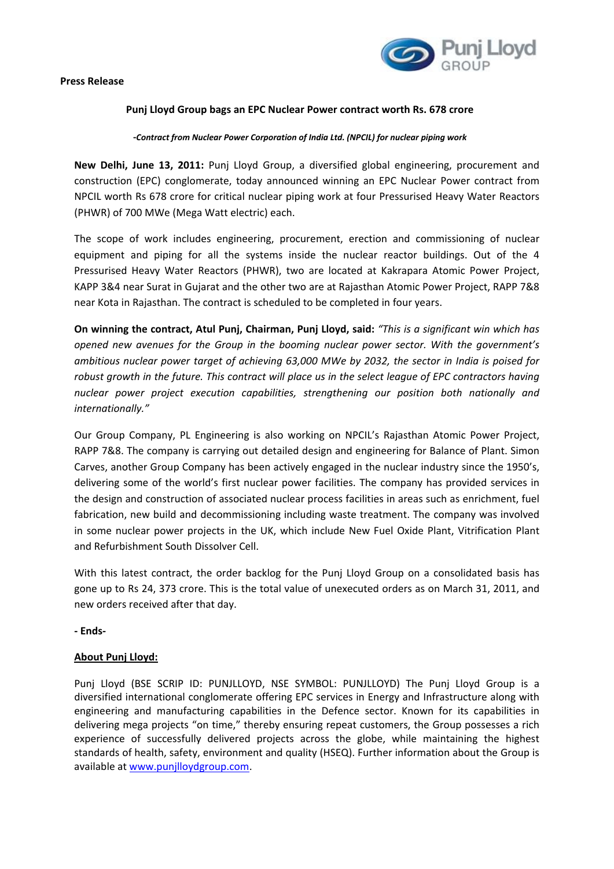

## **Punj Lloyd Group bags an EPC Nuclear Power contract worth Rs. 678 crore**

**‐***Contract from Nuclear Power Corporation of India Ltd. (NPCIL) for nuclear piping work*

**New Delhi, June 13, 2011:** Punj Lloyd Group, a diversified global engineering, procurement and construction (EPC) conglomerate, today announced winning an EPC Nuclear Power contract from NPCIL worth Rs 678 crore for critical nuclear piping work at four Pressurised Heavy Water Reactors (PHWR) of 700 MWe (Mega Watt electric) each.

The scope of work includes engineering, procurement, erection and commissioning of nuclear equipment and piping for all the systems inside the nuclear reactor buildings. Out of the 4 Pressurised Heavy Water Reactors (PHWR), two are located at Kakrapara Atomic Power Project, KAPP 3&4 near Surat in Gujarat and the other two are at Rajasthan Atomic Power Project, RAPP 7&8 near Kota in Rajasthan. The contract is scheduled to be completed in four years.

**On winning the contract, Atul Punj, Chairman, Punj Lloyd, said:** *"This is a significant win which has opened new avenues for the Group in the booming nuclear power sector. With the government's ambitious nuclear power target of achieving 63,000 MWe by 2032, the sector in India is poised for* robust growth in the future. This contract will place us in the select league of EPC contractors having *nuclear power project execution capabilities, strengthening our position both nationally and internationally."* 

Our Group Company, PL Engineering is also working on NPCIL's Rajasthan Atomic Power Project, RAPP 7&8. The company is carrying out detailed design and engineering for Balance of Plant. Simon Carves, another Group Company has been actively engaged in the nuclear industry since the 1950's, delivering some of the world's first nuclear power facilities. The company has provided services in the design and construction of associated nuclear process facilities in areas such as enrichment, fuel fabrication, new build and decommissioning including waste treatment. The company was involved in some nuclear power projects in the UK, which include New Fuel Oxide Plant, Vitrification Plant and Refurbishment South Dissolver Cell.

With this latest contract, the order backlog for the Punj Lloyd Group on a consolidated basis has gone up to Rs 24, 373 crore. This is the total value of unexecuted orders as on March 31, 2011, and new orders received after that day.

**‐ Ends‐** 

## **About Punj Lloyd:**

Punj Lloyd (BSE SCRIP ID: PUNJLLOYD, NSE SYMBOL: PUNJLLOYD) The Punj Lloyd Group is a diversified international conglomerate offering EPC services in Energy and Infrastructure along with engineering and manufacturing capabilities in the Defence sector. Known for its capabilities in delivering mega projects "on time," thereby ensuring repeat customers, the Group possesses a rich experience of successfully delivered projects across the globe, while maintaining the highest standards of health, safety, environment and quality (HSEQ). Further information about the Group is available at www.punjlloydgroup.com.